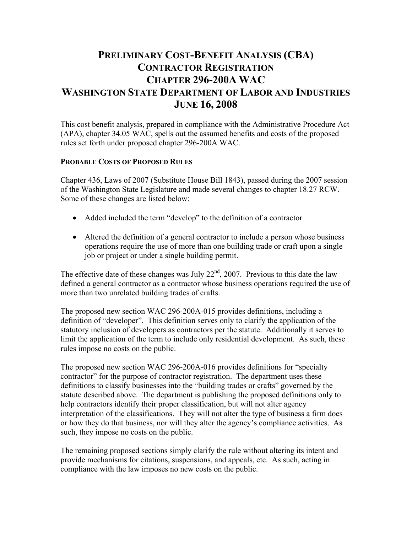## **PRELIMINARY COST-BENEFIT ANALYSIS (CBA) CONTRACTOR REGISTRATION CHAPTER 296-200A WAC WASHINGTON STATE DEPARTMENT OF LABOR AND INDUSTRIES JUNE 16, 2008**

This cost benefit analysis, prepared in compliance with the Administrative Procedure Act (APA), chapter 34.05 WAC, spells out the assumed benefits and costs of the proposed rules set forth under proposed chapter 296-200A WAC.

## **PROBABLE COSTS OF PROPOSED RULES**

Chapter 436, Laws of 2007 (Substitute House Bill 1843), passed during the 2007 session of the Washington State Legislature and made several changes to chapter 18.27 RCW. Some of these changes are listed below:

- Added included the term "develop" to the definition of a contractor
- Altered the definition of a general contractor to include a person whose business operations require the use of more than one building trade or craft upon a single job or project or under a single building permit.

The effective date of these changes was July  $22<sup>nd</sup>$ , 2007. Previous to this date the law defined a general contractor as a contractor whose business operations required the use of more than two unrelated building trades of crafts.

The proposed new section WAC 296-200A-015 provides definitions, including a definition of "developer". This definition serves only to clarify the application of the statutory inclusion of developers as contractors per the statute. Additionally it serves to limit the application of the term to include only residential development. As such, these rules impose no costs on the public.

The proposed new section WAC 296-200A-016 provides definitions for "specialty contractor" for the purpose of contractor registration. The department uses these definitions to classify businesses into the "building trades or crafts" governed by the statute described above. The department is publishing the proposed definitions only to help contractors identify their proper classification, but will not alter agency interpretation of the classifications. They will not alter the type of business a firm does or how they do that business, nor will they alter the agency's compliance activities. As such, they impose no costs on the public.

The remaining proposed sections simply clarify the rule without altering its intent and provide mechanisms for citations, suspensions, and appeals, etc. As such, acting in compliance with the law imposes no new costs on the public.